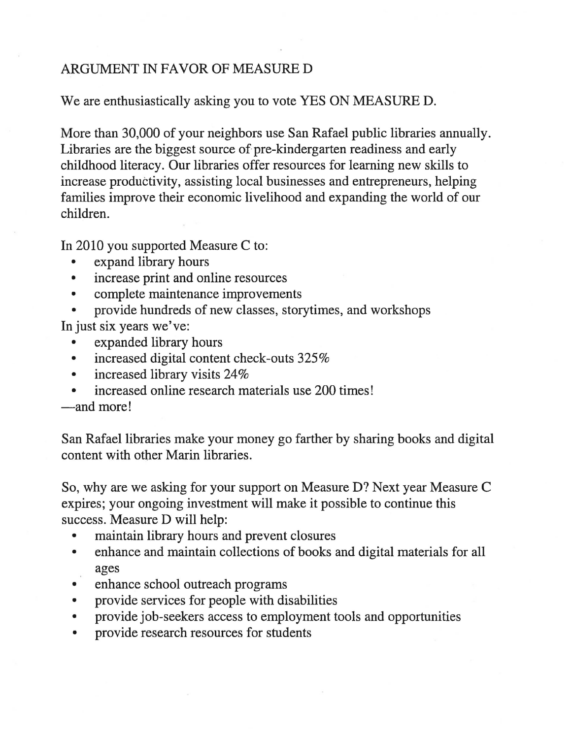## ARGUMENT IN FAVOR OF MEASURE D

We are enthusiastically asking you to vote YES ON MEASURE D.

More than 30,000 of your neighbors use San Rafael public libraries annually. Libraries are the biggest source of pre-kindergarten readiness and early childhood literacy. Our libraries offer resources for learning new skills to increase productivity, assisting local businesses and entrepreneurs, helping families improve their economic livelihood and expanding the world of our children.

In 2010 you supported Measure C to:

- expand library hours
- increase print and online resources
- complete maintenance improvements
- provide hundreds of new classes, story times, and workshops In just six years we've:
	- expanded library hours
	- increased digital content check-outs 325%
	- increased library visits 24%
	- increased online research materials use 200 times!

-and more!

San Rafael libraries make your money go farther by sharing books and digital content with other Marin libraries.

So, why are we asking for your support on Measure D? Next year Measure C expires; your ongoing investment will make it possible to continue this success. Measure D will help:

- maintain library hours and prevent closures
- enhance and maintain collections of books and digital materials for all ages
- enhance school outreach programs
- provide services for people with disabilities
- provide job-seekers access to employment tools and opportunities
- provide research resources for students